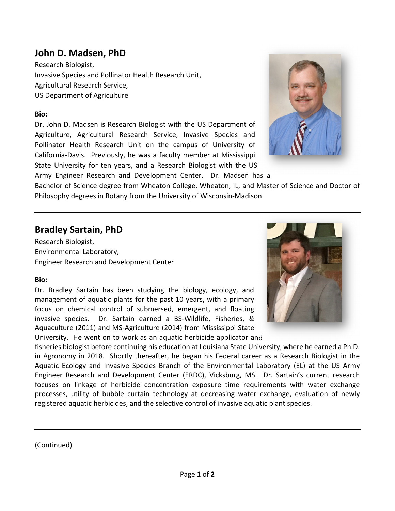## **John D. Madsen, PhD**

Research Biologist, Invasive Species and Pollinator Health Research Unit, Agricultural Research Service, US Department of Agriculture

#### **Bio:**

Dr. John D. Madsen is Research Biologist with the US Department of Agriculture, Agricultural Research Service, Invasive Species and Pollinator Health Research Unit on the campus of University of California‐Davis. Previously, he was a faculty member at Mississippi State University for ten years, and a Research Biologist with the US

Army Engineer Research and Development Center. Dr. Madsen has a



Bachelor of Science degree from Wheaton College, Wheaton, IL, and Master of Science and Doctor of Philosophy degrees in Botany from the University of Wisconsin‐Madison.

## **Bradley Sartain, PhD**

Research Biologist, Environmental Laboratory, Engineer Research and Development Center

### **Bio:**

Dr. Bradley Sartain has been studying the biology, ecology, and management of aquatic plants for the past 10 years, with a primary focus on chemical control of submersed, emergent, and floating invasive species. Dr. Sartain earned a BS-Wildlife, Fisheries, & Aquaculture (2011) and MS‐Agriculture (2014) from Mississippi State University. He went on to work as an aquatic herbicide applicator and



fisheries biologist before continuing his education at Louisiana State University, where he earned a Ph.D. in Agronomy in 2018. Shortly thereafter, he began his Federal career as a Research Biologist in the Aquatic Ecology and Invasive Species Branch of the Environmental Laboratory (EL) at the US Army Engineer Research and Development Center (ERDC), Vicksburg, MS. Dr. Sartain's current research focuses on linkage of herbicide concentration exposure time requirements with water exchange processes, utility of bubble curtain technology at decreasing water exchange, evaluation of newly registered aquatic herbicides, and the selective control of invasive aquatic plant species.

(Continued)